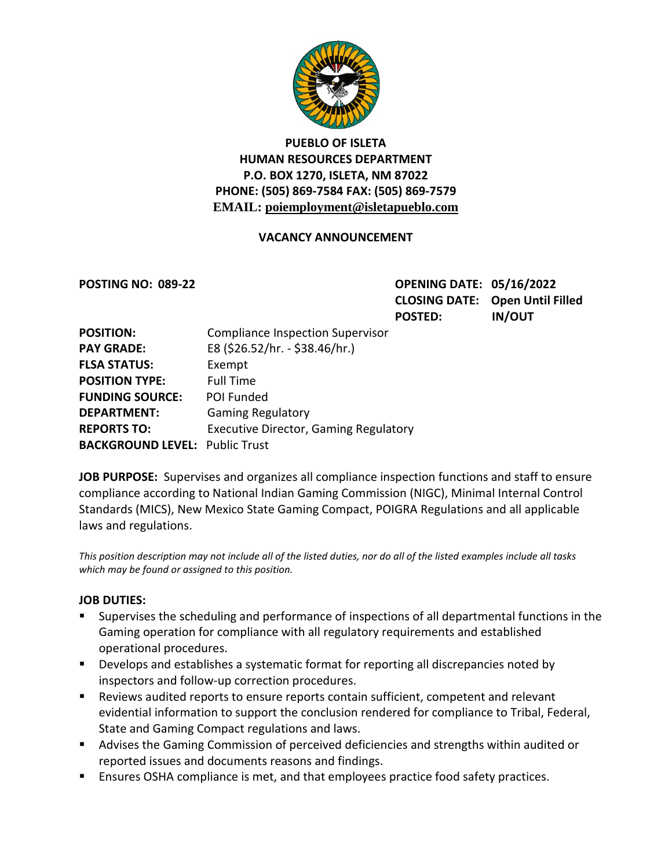

## **PUEBLO OF ISLETA HUMAN RESOURCES DEPARTMENT P.O. BOX 1270, ISLETA, NM 87022 PHONE: (505) 869-7584 FAX: (505) 869-7579 EMAIL: poiemployment@isletapueblo.com**

### **VACANCY ANNOUNCEMENT**

**POSTING NO: 089-22 OPENING DATE: 05/16/2022 CLOSING DATE: Open Until Filled POSTED: IN/OUT**

| <b>POSITION:</b>                      | <b>Compliance Inspection Supervisor</b>      |
|---------------------------------------|----------------------------------------------|
| <b>PAY GRADE:</b>                     | E8 (\$26.52/hr. - \$38.46/hr.)               |
| <b>FLSA STATUS:</b>                   | Exempt                                       |
| <b>POSITION TYPE:</b>                 | <b>Full Time</b>                             |
| <b>FUNDING SOURCE:</b>                | POI Funded                                   |
| <b>DEPARTMENT:</b>                    | <b>Gaming Regulatory</b>                     |
| <b>REPORTS TO:</b>                    | <b>Executive Director, Gaming Regulatory</b> |
| <b>BACKGROUND LEVEL: Public Trust</b> |                                              |

**JOB PURPOSE:** Supervises and organizes all compliance inspection functions and staff to ensure compliance according to National Indian Gaming Commission (NIGC), Minimal Internal Control Standards (MICS), New Mexico State Gaming Compact, POIGRA Regulations and all applicable laws and regulations.

*This position description may not include all of the listed duties, nor do all of the listed examples include all tasks which may be found or assigned to this position.*

#### **JOB DUTIES:**

- Supervises the scheduling and performance of inspections of all departmental functions in the Gaming operation for compliance with all regulatory requirements and established operational procedures.
- **Develops and establishes a systematic format for reporting all discrepancies noted by** inspectors and follow-up correction procedures.
- Reviews audited reports to ensure reports contain sufficient, competent and relevant evidential information to support the conclusion rendered for compliance to Tribal, Federal, State and Gaming Compact regulations and laws.
- Advises the Gaming Commission of perceived deficiencies and strengths within audited or reported issues and documents reasons and findings.
- **Ensures OSHA compliance is met, and that employees practice food safety practices.**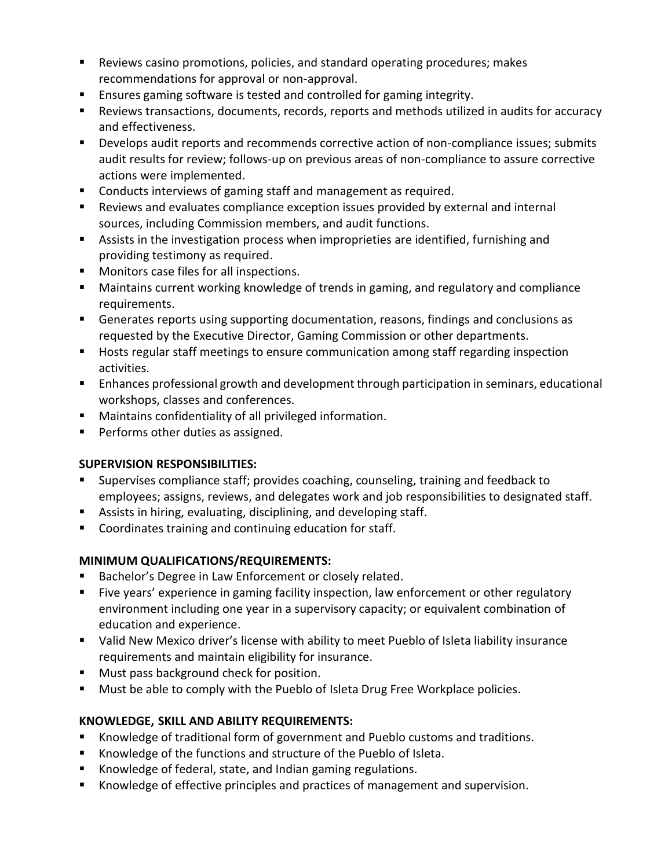- Reviews casino promotions, policies, and standard operating procedures; makes recommendations for approval or non-approval.
- Ensures gaming software is tested and controlled for gaming integrity.
- Reviews transactions, documents, records, reports and methods utilized in audits for accuracy and effectiveness.
- **Develops audit reports and recommends corrective action of non-compliance issues; submits** audit results for review; follows-up on previous areas of non-compliance to assure corrective actions were implemented.
- Conducts interviews of gaming staff and management as required.
- Reviews and evaluates compliance exception issues provided by external and internal sources, including Commission members, and audit functions.
- Assists in the investigation process when improprieties are identified, furnishing and providing testimony as required.
- **Monitors case files for all inspections.**
- Maintains current working knowledge of trends in gaming, and regulatory and compliance requirements.
- Generates reports using supporting documentation, reasons, findings and conclusions as requested by the Executive Director, Gaming Commission or other departments.
- **Hosts regular staff meetings to ensure communication among staff regarding inspection** activities.
- **E** Enhances professional growth and development through participation in seminars, educational workshops, classes and conferences.
- Maintains confidentiality of all privileged information.
- **Performs other duties as assigned.**

### **SUPERVISION RESPONSIBILITIES:**

- Supervises compliance staff; provides coaching, counseling, training and feedback to employees; assigns, reviews, and delegates work and job responsibilities to designated staff.
- Assists in hiring, evaluating, disciplining, and developing staff.
- Coordinates training and continuing education for staff.

# **MINIMUM QUALIFICATIONS/REQUIREMENTS:**

- Bachelor's Degree in Law Enforcement or closely related.
- **Five years' experience in gaming facility inspection, law enforcement or other regulatory** environment including one year in a supervisory capacity; or equivalent combination of education and experience.
- Valid New Mexico driver's license with ability to meet Pueblo of Isleta liability insurance requirements and maintain eligibility for insurance.
- **Must pass background check for position.**
- **Must be able to comply with the Pueblo of Isleta Drug Free Workplace policies.**

### **KNOWLEDGE, SKILL AND ABILITY REQUIREMENTS:**

- Knowledge of traditional form of government and Pueblo customs and traditions.
- Knowledge of the functions and structure of the Pueblo of Isleta.
- Knowledge of federal, state, and Indian gaming regulations.
- Knowledge of effective principles and practices of management and supervision.